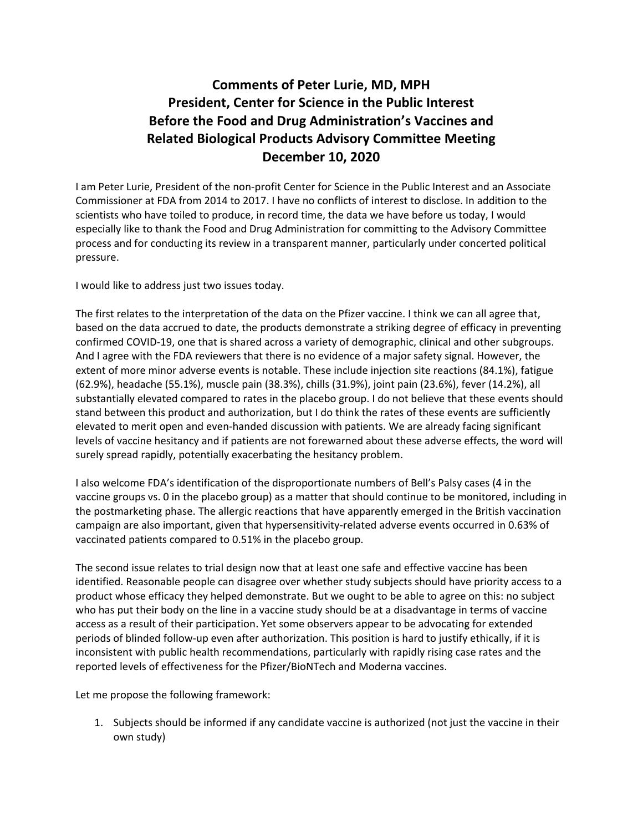## **Comments of Peter Lurie, MD, MPH President, Center for Science in the Public Interest Before the Food and Drug Administration's Vaccines and Related Biological Products Advisory Committee Meeting December 10, 2020**

I am Peter Lurie, President of the non-profit Center for Science in the Public Interest and an Associate Commissioner at FDA from 2014 to 2017. I have no conflicts of interest to disclose. In addition to the scientists who have toiled to produce, in record time, the data we have before us today, I would especially like to thank the Food and Drug Administration for committing to the Advisory Committee process and for conducting its review in a transparent manner, particularly under concerted political pressure.

I would like to address just two issues today.

The first relates to the interpretation of the data on the Pfizer vaccine. I think we can all agree that, based on the data accrued to date, the products demonstrate a striking degree of efficacy in preventing confirmed COVID-19, one that is shared across a variety of demographic, clinical and other subgroups. And I agree with the FDA reviewers that there is no evidence of a major safety signal. However, the extent of more minor adverse events is notable. These include injection site reactions (84.1%), fatigue (62.9%), headache (55.1%), muscle pain (38.3%), chills (31.9%), joint pain (23.6%), fever (14.2%), all substantially elevated compared to rates in the placebo group. I do not believe that these events should stand between this product and authorization, but I do think the rates of these events are sufficiently elevated to merit open and even-handed discussion with patients. We are already facing significant levels of vaccine hesitancy and if patients are not forewarned about these adverse effects, the word will surely spread rapidly, potentially exacerbating the hesitancy problem.

I also welcome FDA's identification of the disproportionate numbers of Bell's Palsy cases (4 in the vaccine groups vs. 0 in the placebo group) as a matter that should continue to be monitored, including in the postmarketing phase. The allergic reactions that have apparently emerged in the British vaccination campaign are also important, given that hypersensitivity-related adverse events occurred in 0.63% of vaccinated patients compared to 0.51% in the placebo group.

The second issue relates to trial design now that at least one safe and effective vaccine has been identified. Reasonable people can disagree over whether study subjects should have priority access to a product whose efficacy they helped demonstrate. But we ought to be able to agree on this: no subject who has put their body on the line in a vaccine study should be at a disadvantage in terms of vaccine access as a result of their participation. Yet some observers appear to be advocating for extended periods of blinded follow-up even after authorization. This position is hard to justify ethically, if it is inconsistent with public health recommendations, particularly with rapidly rising case rates and the reported levels of effectiveness for the Pfizer/BioNTech and Moderna vaccines.

Let me propose the following framework:

1. Subjects should be informed if any candidate vaccine is authorized (not just the vaccine in their own study)